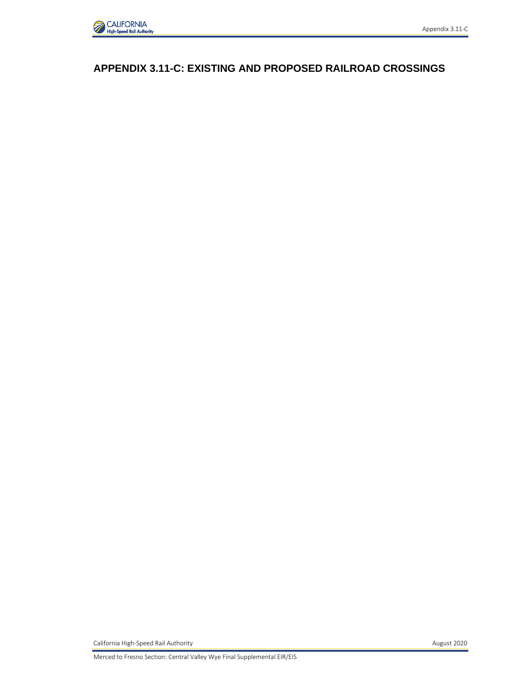

# **APPENDIX 3.11-C: EXISTING AND PROPOSED RAILROAD CROSSINGS**

California High-Speed Rail Authority **August 2020 August 2020**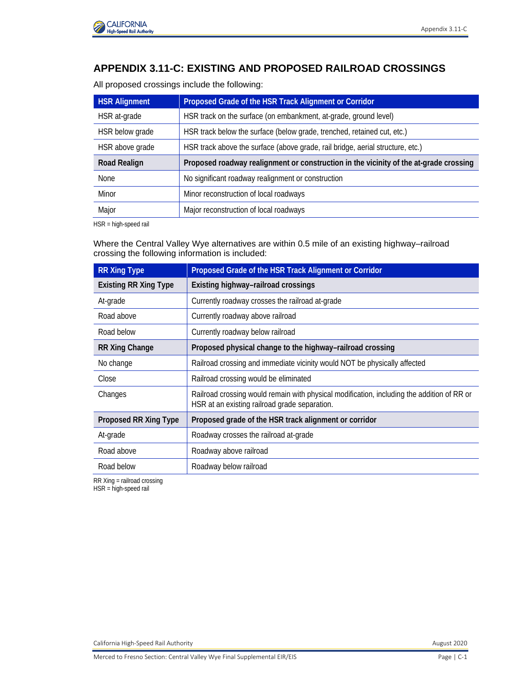

# **APPENDIX 3.11-C: EXISTING AND PROPOSED RAILROAD CROSSINGS**

All proposed crossings include the following:

| <b>HSR Alignment</b> | Proposed Grade of the HSR Track Alignment or Corridor                                 |
|----------------------|---------------------------------------------------------------------------------------|
| HSR at-grade         | HSR track on the surface (on embankment, at-grade, ground level)                      |
| HSR below grade      | HSR track below the surface (below grade, trenched, retained cut, etc.)               |
| HSR above grade      | HSR track above the surface (above grade, rail bridge, aerial structure, etc.)        |
|                      |                                                                                       |
| <b>Road Realign</b>  | Proposed roadway realignment or construction in the vicinity of the at-grade crossing |
| None                 | No significant roadway realignment or construction                                    |
| Minor                | Minor reconstruction of local roadways                                                |

HSR = high-speed rail

Where the Central Valley Wye alternatives are within 0.5 mile of an existing highway–railroad crossing the following information is included:

| <b>RR Xing Type</b>          | Proposed Grade of the HSR Track Alignment or Corridor                                                                                       |
|------------------------------|---------------------------------------------------------------------------------------------------------------------------------------------|
| <b>Existing RR Xing Type</b> | Existing highway-railroad crossings                                                                                                         |
| At-grade                     | Currently roadway crosses the railroad at-grade                                                                                             |
| Road above                   | Currently roadway above railroad                                                                                                            |
| Road below                   | Currently roadway below railroad                                                                                                            |
| <b>RR Xing Change</b>        | Proposed physical change to the highway-railroad crossing                                                                                   |
| No change                    | Railroad crossing and immediate vicinity would NOT be physically affected                                                                   |
| Close                        | Railroad crossing would be eliminated                                                                                                       |
| Changes                      | Railroad crossing would remain with physical modification, including the addition of RR or<br>HSR at an existing railroad grade separation. |
| Proposed RR Xing Type        | Proposed grade of the HSR track alignment or corridor                                                                                       |
| At-grade                     | Roadway crosses the railroad at-grade                                                                                                       |
| Road above                   | Roadway above railroad                                                                                                                      |
| Road below                   | Roadway below railroad                                                                                                                      |

RR Xing = railroad crossing

HSR = high-speed rail

California High-Speed Rail Authority **August 2020 August 2020**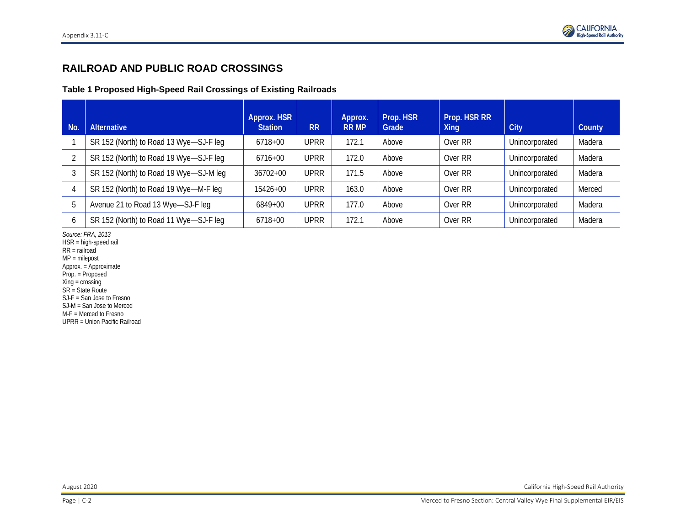

## **RAILROAD AND PUBLIC ROAD CROSSINGS**

#### **Table 1 Proposed High-Speed Rail Crossings of Existing Railroads**

| No. | <b>Alternative</b>                     | Approx. HSR<br><b>Station</b> | <b>RR</b>   | Approx.<br><b>RR MP</b> | Prop. HSR<br>Grade | Prop. HSR RR<br>Xing | City           | County |
|-----|----------------------------------------|-------------------------------|-------------|-------------------------|--------------------|----------------------|----------------|--------|
|     | SR 152 (North) to Road 13 Wye-SJ-F leg | 6718+00                       | <b>UPRR</b> | 172.1                   | Above              | Over RR              | Unincorporated | Madera |
|     | SR 152 (North) to Road 19 Wye-SJ-F leg | 6716+00                       | <b>UPRR</b> | 172.0                   | Above              | Over RR              | Unincorporated | Madera |
|     | SR 152 (North) to Road 19 Wye-SJ-M leg | $36702 + 00$                  | <b>UPRR</b> | 171.5                   | Above              | Over RR              | Unincorporated | Madera |
| 4   | SR 152 (North) to Road 19 Wye-M-F leg  | 15426+00                      | <b>UPRR</b> | 163.0                   | Above              | Over RR              | Unincorporated | Merced |
| 5   | Avenue 21 to Road 13 Wye-SJ-F leg      | 6849+00                       | UPRR        | 177.0                   | Above              | Over RR              | Unincorporated | Madera |
| 6   | SR 152 (North) to Road 11 Wye-SJ-F leg | 6718+00                       | UPRR        | 172.1                   | Above              | Over RR              | Unincorporated | Madera |

*Source: FRA, 2013*

HSR = high-speed rail

RR = railroad

MP = milepost

Approx. = Approximate Prop. = Proposed

Xing = crossing

SR = State Route

SJ-F = San Jose to Fresno

SJ-M = San Jose to Merced

M-F = Merced to Fresno

UPRR = Union Pacific Railroad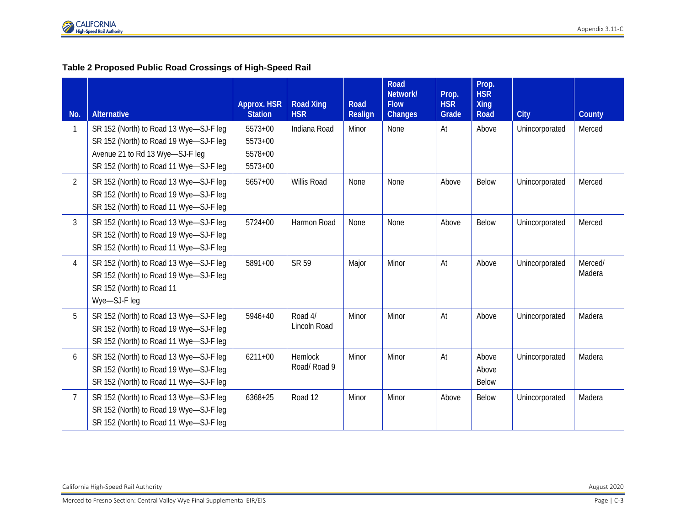#### **Table 2 Proposed Public Road Crossings of High-Speed Rail**

| No.             | <b>Alternative</b>                                                                                                                                            | Approx. HSR<br><b>Station</b>              | <b>Road Xing</b><br><b>HSR</b> | Road<br><b>Realign</b> | <b>Road</b><br>Network/<br><b>Flow</b><br>Changes | Prop.<br><b>HSR</b><br>Grade | Prop.<br><b>HSR</b><br><b>Xing</b><br>Road | <b>City</b>    | County            |
|-----------------|---------------------------------------------------------------------------------------------------------------------------------------------------------------|--------------------------------------------|--------------------------------|------------------------|---------------------------------------------------|------------------------------|--------------------------------------------|----------------|-------------------|
|                 | SR 152 (North) to Road 13 Wye-SJ-F leg<br>SR 152 (North) to Road 19 Wye-SJ-F leg<br>Avenue 21 to Rd 13 Wye-SJ-F leg<br>SR 152 (North) to Road 11 Wye-SJ-F leg | 5573+00<br>$5573+00$<br>5578+00<br>5573+00 | Indiana Road                   | Minor                  | None                                              | At                           | Above                                      | Unincorporated | Merced            |
| $\overline{2}$  | SR 152 (North) to Road 13 Wye-SJ-F leg<br>SR 152 (North) to Road 19 Wye-SJ-F leg<br>SR 152 (North) to Road 11 Wye-SJ-F leg                                    | $5657+00$                                  | Willis Road                    | None                   | None                                              | Above                        | Below                                      | Unincorporated | Merced            |
| $\overline{3}$  | SR 152 (North) to Road 13 Wye-SJ-F leg<br>SR 152 (North) to Road 19 Wye-SJ-F leg<br>SR 152 (North) to Road 11 Wye-SJ-F leg                                    | $5724 + 00$                                | Harmon Road                    | None                   | None                                              | Above                        | <b>Below</b>                               | Unincorporated | Merced            |
| $\overline{4}$  | SR 152 (North) to Road 13 Wye-SJ-F leg<br>SR 152 (North) to Road 19 Wye-SJ-F leg<br>SR 152 (North) to Road 11<br>Wye-SJ-F leg                                 | 5891+00                                    | SR 59                          | Major                  | Minor                                             | At                           | Above                                      | Unincorporated | Merced/<br>Madera |
| 5               | SR 152 (North) to Road 13 Wye-SJ-F leg<br>SR 152 (North) to Road 19 Wye-SJ-F leg<br>SR 152 (North) to Road 11 Wye-SJ-F leg                                    | $5946 + 40$                                | Road 4/<br>Lincoln Road        | Minor                  | Minor                                             | At                           | Above                                      | Unincorporated | Madera            |
| 6               | SR 152 (North) to Road 13 Wye-SJ-F leg<br>SR 152 (North) to Road 19 Wye-SJ-F leg<br>SR 152 (North) to Road 11 Wye-SJ-F leg                                    | $6211 + 00$                                | <b>Hemlock</b><br>Road/Road 9  | Minor                  | Minor                                             | At                           | Above<br>Above<br><b>Below</b>             | Unincorporated | Madera            |
| $7\overline{ }$ | SR 152 (North) to Road 13 Wye-SJ-F leg<br>SR 152 (North) to Road 19 Wye-SJ-F leg<br>SR 152 (North) to Road 11 Wye-SJ-F leg                                    | 6368+25                                    | Road 12                        | Minor                  | Minor                                             | Above                        | <b>Below</b>                               | Unincorporated | Madera            |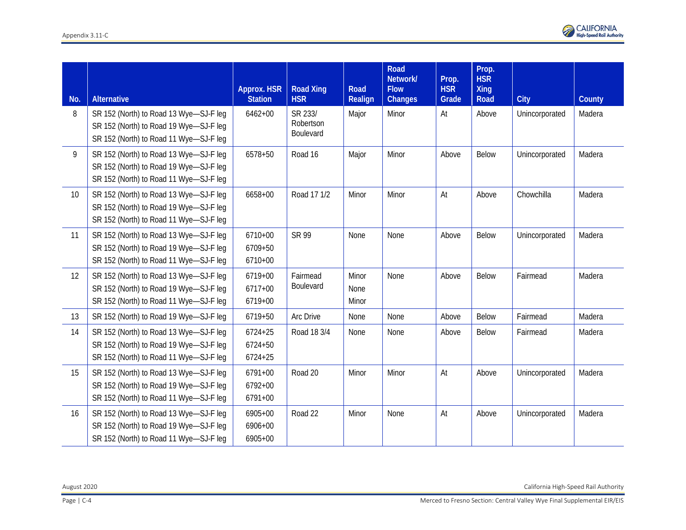| No. | <b>Alternative</b>                                                                                                         | <b>Approx. HSR</b><br><b>Station</b>  | <b>Road Xing</b><br><b>HSR</b>    | Road<br>Realign        | Road<br>Network/<br><b>Flow</b><br><b>Changes</b> | Prop.<br><b>HSR</b><br>Grade | Prop.<br><b>HSR</b><br><b>Xing</b><br>Road | <b>City</b>    | County |
|-----|----------------------------------------------------------------------------------------------------------------------------|---------------------------------------|-----------------------------------|------------------------|---------------------------------------------------|------------------------------|--------------------------------------------|----------------|--------|
| 8   | SR 152 (North) to Road 13 Wye-SJ-F leg<br>SR 152 (North) to Road 19 Wye-SJ-F leg<br>SR 152 (North) to Road 11 Wye-SJ-F leg | $6462 + 00$                           | SR 233/<br>Robertson<br>Boulevard | Major                  | Minor                                             | At                           | Above                                      | Unincorporated | Madera |
| 9   | SR 152 (North) to Road 13 Wye-SJ-F leg<br>SR 152 (North) to Road 19 Wye-SJ-F leg<br>SR 152 (North) to Road 11 Wye-SJ-F leg | 6578+50                               | Road 16                           | Major                  | Minor                                             | Above                        | Below                                      | Unincorporated | Madera |
| 10  | SR 152 (North) to Road 13 Wye-SJ-F leg<br>SR 152 (North) to Road 19 Wye-SJ-F leg<br>SR 152 (North) to Road 11 Wye-SJ-F leg | 6658+00                               | Road 17 1/2                       | Minor                  | Minor                                             | At                           | Above                                      | Chowchilla     | Madera |
| 11  | SR 152 (North) to Road 13 Wye-SJ-F leg<br>SR 152 (North) to Road 19 Wye-SJ-F leg<br>SR 152 (North) to Road 11 Wye-SJ-F leg | $6710 + 00$<br>6709+50<br>6710+00     | SR 99                             | None                   | None                                              | Above                        | Below                                      | Unincorporated | Madera |
| 12  | SR 152 (North) to Road 13 Wye-SJ-F leg<br>SR 152 (North) to Road 19 Wye-SJ-F leg<br>SR 152 (North) to Road 11 Wye-SJ-F leg | 6719+00<br>$6717 + 00$<br>6719+00     | Fairmead<br>Boulevard             | Minor<br>None<br>Minor | None                                              | Above                        | Below                                      | Fairmead       | Madera |
| 13  | SR 152 (North) to Road 19 Wye-SJ-F leg                                                                                     | 6719+50                               | Arc Drive                         | None                   | None                                              | Above                        | Below                                      | Fairmead       | Madera |
| 14  | SR 152 (North) to Road 13 Wye-SJ-F leg<br>SR 152 (North) to Road 19 Wye-SJ-F leg<br>SR 152 (North) to Road 11 Wye-SJ-F leg | $6724 + 25$<br>6724+50<br>$6724 + 25$ | Road 18 3/4                       | None                   | None                                              | Above                        | Below                                      | Fairmead       | Madera |
| 15  | SR 152 (North) to Road 13 Wye-SJ-F leg<br>SR 152 (North) to Road 19 Wye-SJ-F leg<br>SR 152 (North) to Road 11 Wye-SJ-F leg | $6791 + 00$<br>6792+00<br>6791+00     | Road 20                           | Minor                  | Minor                                             | At                           | Above                                      | Unincorporated | Madera |
| 16  | SR 152 (North) to Road 13 Wye-SJ-F leg<br>SR 152 (North) to Road 19 Wye-SJ-F leg<br>SR 152 (North) to Road 11 Wye-SJ-F leg | 6905+00<br>6906+00<br>6905+00         | Road 22                           | Minor                  | None                                              | At                           | Above                                      | Unincorporated | Madera |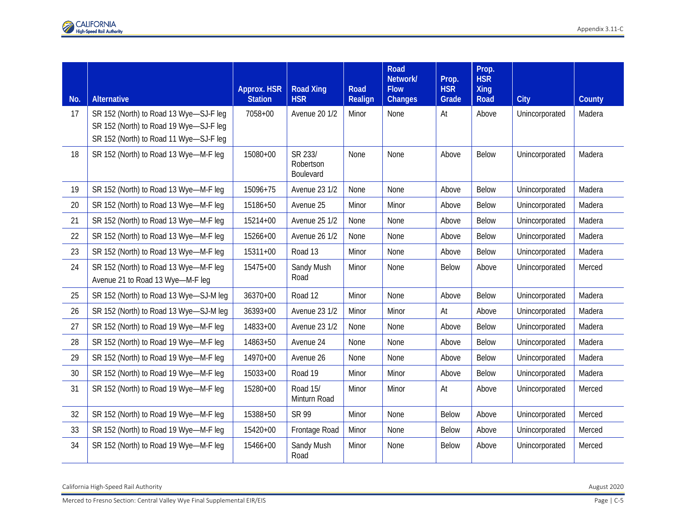|     |                                                                                                                            | Approx. HSR    | <b>Road Xing</b>                  | <b>Road</b> | Road<br>Network/<br><b>Flow</b> | Prop.<br><b>HSR</b> | Prop.<br><b>HSR</b><br><b>Xing</b> |                |        |
|-----|----------------------------------------------------------------------------------------------------------------------------|----------------|-----------------------------------|-------------|---------------------------------|---------------------|------------------------------------|----------------|--------|
| No. | <b>Alternative</b>                                                                                                         | <b>Station</b> | <b>HSR</b>                        | Realign     | Changes                         | Grade               | <b>Road</b>                        | City           | County |
| 17  | SR 152 (North) to Road 13 Wye-SJ-F leg<br>SR 152 (North) to Road 19 Wye-SJ-F leg<br>SR 152 (North) to Road 11 Wye-SJ-F leg | 7058+00        | Avenue 20 1/2                     | Minor       | None                            | At                  | Above                              | Unincorporated | Madera |
| 18  | SR 152 (North) to Road 13 Wye-M-F leg                                                                                      | 15080+00       | SR 233/<br>Robertson<br>Boulevard | None        | None                            | Above               | Below                              | Unincorporated | Madera |
| 19  | SR 152 (North) to Road 13 Wye-M-F leg                                                                                      | 15096+75       | <b>Avenue 23 1/2</b>              | None        | None                            | Above               | Below                              | Unincorporated | Madera |
| 20  | SR 152 (North) to Road 13 Wye-M-F leg                                                                                      | 15186+50       | Avenue 25                         | Minor       | Minor                           | Above               | <b>Below</b>                       | Unincorporated | Madera |
| 21  | SR 152 (North) to Road 13 Wye-M-F leg                                                                                      | 15214+00       | Avenue 25 1/2                     | None        | None                            | Above               | <b>Below</b>                       | Unincorporated | Madera |
| 22  | SR 152 (North) to Road 13 Wye-M-F leg                                                                                      | 15266+00       | Avenue 26 1/2                     | None        | None                            | Above               | Below                              | Unincorporated | Madera |
| 23  | SR 152 (North) to Road 13 Wye-M-F leg                                                                                      | 15311+00       | Road 13                           | Minor       | None                            | Above               | <b>Below</b>                       | Unincorporated | Madera |
| 24  | SR 152 (North) to Road 13 Wye-M-F leg<br>Avenue 21 to Road 13 Wye-M-F leg                                                  | 15475+00       | Sandy Mush<br>Road                | Minor       | None                            | Below               | Above                              | Unincorporated | Merced |
| 25  | SR 152 (North) to Road 13 Wye-SJ-M leg                                                                                     | 36370+00       | Road 12                           | Minor       | None                            | Above               | Below                              | Unincorporated | Madera |
| 26  | SR 152 (North) to Road 13 Wye-SJ-M leg                                                                                     | $36393+00$     | Avenue 23 1/2                     | Minor       | Minor                           | At                  | Above                              | Unincorporated | Madera |
| 27  | SR 152 (North) to Road 19 Wye-M-F leg                                                                                      | 14833+00       | Avenue 23 1/2                     | None        | None                            | Above               | <b>Below</b>                       | Unincorporated | Madera |
| 28  | SR 152 (North) to Road 19 Wye-M-F leg                                                                                      | 14863+50       | Avenue 24                         | None        | None                            | Above               | <b>Below</b>                       | Unincorporated | Madera |
| 29  | SR 152 (North) to Road 19 Wye-M-F leg                                                                                      | 14970+00       | Avenue 26                         | None        | None                            | Above               | <b>Below</b>                       | Unincorporated | Madera |
| 30  | SR 152 (North) to Road 19 Wye-M-F leg                                                                                      | 15033+00       | Road 19                           | Minor       | Minor                           | Above               | <b>Below</b>                       | Unincorporated | Madera |
| 31  | SR 152 (North) to Road 19 Wye-M-F leg                                                                                      | 15280+00       | Road 15/<br>Minturn Road          | Minor       | Minor                           | At                  | Above                              | Unincorporated | Merced |
| 32  | SR 152 (North) to Road 19 Wye-M-F leg                                                                                      | 15388+50       | <b>SR 99</b>                      | Minor       | None                            | <b>Below</b>        | Above                              | Unincorporated | Merced |
| 33  | SR 152 (North) to Road 19 Wye-M-F leg                                                                                      | 15420+00       | Frontage Road                     | Minor       | None                            | <b>Below</b>        | Above                              | Unincorporated | Merced |
| 34  | SR 152 (North) to Road 19 Wye-M-F leg                                                                                      | 15466+00       | Sandy Mush<br>Road                | Minor       | None                            | <b>Below</b>        | Above                              | Unincorporated | Merced |

California High-Speed Rail Authority August 2020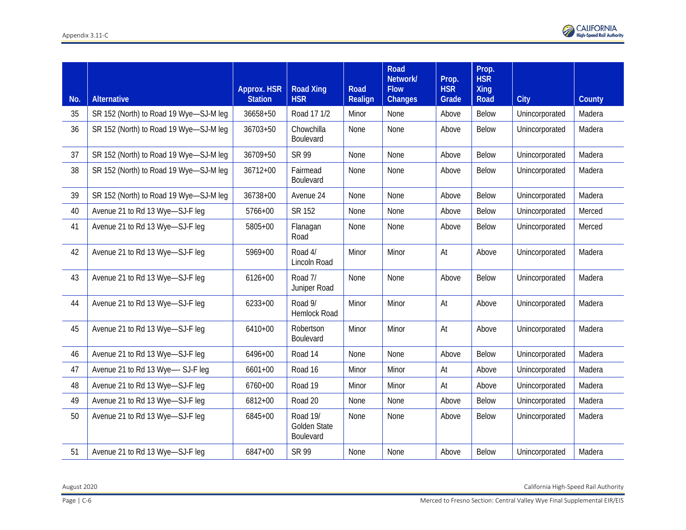|     | <b>Alternative</b>                     | <b>Approx. HSR</b>         | <b>Road Xing</b>                      | Road             | Road<br>Network/<br><b>Flow</b> | Prop.<br><b>HSR</b> | Prop.<br><b>HSR</b><br><b>Xing</b> |                |                  |
|-----|----------------------------------------|----------------------------|---------------------------------------|------------------|---------------------------------|---------------------|------------------------------------|----------------|------------------|
| No. |                                        | <b>Station</b><br>36658+50 | <b>HSR</b><br>Road 17 1/2             | Realign<br>Minor | <b>Changes</b>                  | Grade               | Road<br>Below                      | City           | County<br>Madera |
| 35  | SR 152 (North) to Road 19 Wye-SJ-M leg |                            |                                       |                  | None                            | Above               |                                    | Unincorporated |                  |
| 36  | SR 152 (North) to Road 19 Wye-SJ-M leg | 36703+50                   | Chowchilla<br>Boulevard               | None             | None                            | Above               | <b>Below</b>                       | Unincorporated | Madera           |
| 37  | SR 152 (North) to Road 19 Wye-SJ-M leg | 36709+50                   | SR 99                                 | None             | None                            | Above               | Below                              | Unincorporated | Madera           |
| 38  | SR 152 (North) to Road 19 Wye-SJ-M leg | $36712+00$                 | Fairmead<br>Boulevard                 | None             | None                            | Above               | <b>Below</b>                       | Unincorporated | Madera           |
| 39  | SR 152 (North) to Road 19 Wye-SJ-M leg | $36738+00$                 | Avenue 24                             | None             | None                            | Above               | Below                              | Unincorporated | Madera           |
| 40  | Avenue 21 to Rd 13 Wye-SJ-F leg        | 5766+00                    | <b>SR 152</b>                         | None             | None                            | Above               | Below                              | Unincorporated | Merced           |
| 41  | Avenue 21 to Rd 13 Wye-SJ-F leg        | 5805+00                    | Flanagan<br>Road                      | None             | None                            | Above               | <b>Below</b>                       | Unincorporated | Merced           |
| 42  | Avenue 21 to Rd 13 Wye-SJ-F leg        | 5969+00                    | Road 4/<br>Lincoln Road               | Minor            | Minor                           | At                  | Above                              | Unincorporated | Madera           |
| 43  | Avenue 21 to Rd 13 Wye-SJ-F leg        | $6126 + 00$                | Road 7/<br>Juniper Road               | None             | None                            | Above               | Below                              | Unincorporated | Madera           |
| 44  | Avenue 21 to Rd 13 Wye-SJ-F leg        | $6233+00$                  | Road 9/<br><b>Hemlock Road</b>        | Minor            | Minor                           | At                  | Above                              | Unincorporated | Madera           |
| 45  | Avenue 21 to Rd 13 Wye-SJ-F leg        | 6410+00                    | Robertson<br>Boulevard                | Minor            | Minor                           | At                  | Above                              | Unincorporated | Madera           |
| 46  | Avenue 21 to Rd 13 Wye-SJ-F leg        | 6496+00                    | Road 14                               | None             | None                            | Above               | Below                              | Unincorporated | Madera           |
| 47  | Avenue 21 to Rd 13 Wye-- SJ-F leg      | $6601 + 00$                | Road 16                               | Minor            | Minor                           | At                  | Above                              | Unincorporated | Madera           |
| 48  | Avenue 21 to Rd 13 Wye-SJ-F leg        | 6760+00                    | Road 19                               | Minor            | Minor                           | At                  | Above                              | Unincorporated | Madera           |
| 49  | Avenue 21 to Rd 13 Wye-SJ-F leg        | 6812+00                    | Road 20                               | None             | None                            | Above               | <b>Below</b>                       | Unincorporated | Madera           |
| 50  | Avenue 21 to Rd 13 Wye-SJ-F leg        | 6845+00                    | Road 19/<br>Golden State<br>Boulevard | None             | None                            | Above               | <b>Below</b>                       | Unincorporated | Madera           |
| 51  | Avenue 21 to Rd 13 Wye-SJ-F leg        | 6847+00                    | SR 99                                 | None             | None                            | Above               | <b>Below</b>                       | Unincorporated | Madera           |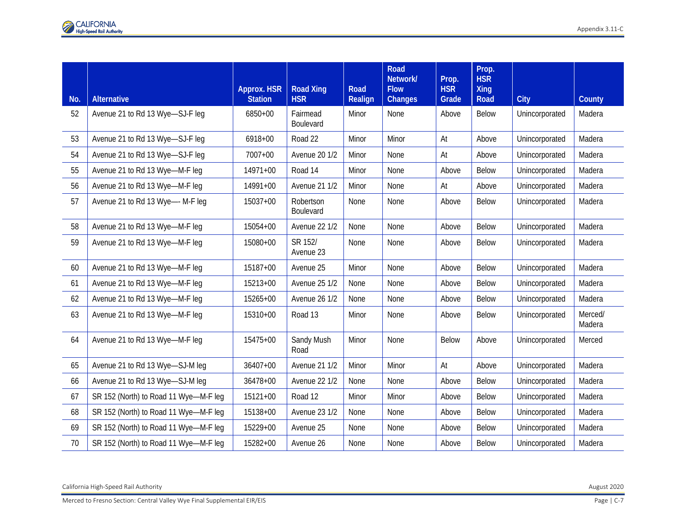| No. | <b>Alternative</b>                    | <b>Approx. HSR</b><br><b>Station</b> | <b>Road Xing</b><br><b>HSR</b> | <b>Road</b><br>Realign | Road<br>Network/<br><b>Flow</b><br>Changes | Prop.<br><b>HSR</b><br>Grade | Prop.<br><b>HSR</b><br><b>Xing</b><br>Road | <b>City</b>    | County            |
|-----|---------------------------------------|--------------------------------------|--------------------------------|------------------------|--------------------------------------------|------------------------------|--------------------------------------------|----------------|-------------------|
| 52  | Avenue 21 to Rd 13 Wye-SJ-F leg       | 6850+00                              | Fairmead<br>Boulevard          | Minor                  | None                                       | Above                        | <b>Below</b>                               | Unincorporated | Madera            |
| 53  | Avenue 21 to Rd 13 Wye-SJ-F leg       | 6918+00                              | Road 22                        | Minor                  | Minor                                      | At                           | Above                                      | Unincorporated | Madera            |
| 54  | Avenue 21 to Rd 13 Wye-SJ-F leg       | 7007+00                              | <b>Avenue 20 1/2</b>           | Minor                  | None                                       | At                           | Above                                      | Unincorporated | Madera            |
| 55  | Avenue 21 to Rd 13 Wye-M-F leg        | 14971+00                             | Road 14                        | Minor                  | None                                       | Above                        | Below                                      | Unincorporated | Madera            |
| 56  | Avenue 21 to Rd 13 Wye-M-F leg        | 14991+00                             | <b>Avenue 21 1/2</b>           | Minor                  | None                                       | At                           | Above                                      | Unincorporated | Madera            |
| 57  | Avenue 21 to Rd 13 Wye--- M-F leg     | 15037+00                             | Robertson<br>Boulevard         | None                   | None                                       | Above                        | Below                                      | Unincorporated | Madera            |
| 58  | Avenue 21 to Rd 13 Wye-M-F leg        | 15054+00                             | <b>Avenue 22 1/2</b>           | None                   | None                                       | Above                        | Below                                      | Unincorporated | Madera            |
| 59  | Avenue 21 to Rd 13 Wye-M-F leg        | 15080+00                             | SR 152/<br>Avenue 23           | None                   | None                                       | Above                        | Below                                      | Unincorporated | Madera            |
| 60  | Avenue 21 to Rd 13 Wye-M-F leg        | 15187+00                             | Avenue 25                      | Minor                  | None                                       | Above                        | Below                                      | Unincorporated | Madera            |
| 61  | Avenue 21 to Rd 13 Wye-M-F leg        | 15213+00                             | <b>Avenue 25 1/2</b>           | None                   | None                                       | Above                        | <b>Below</b>                               | Unincorporated | Madera            |
| 62  | Avenue 21 to Rd 13 Wye-M-F leg        | 15265+00                             | <b>Avenue 26 1/2</b>           | None                   | None                                       | Above                        | Below                                      | Unincorporated | Madera            |
| 63  | Avenue 21 to Rd 13 Wye-M-F leg        | 15310+00                             | Road 13                        | Minor                  | None                                       | Above                        | Below                                      | Unincorporated | Merced/<br>Madera |
| 64  | Avenue 21 to Rd 13 Wye-M-F leg        | 15475+00                             | Sandy Mush<br>Road             | Minor                  | None                                       | <b>Below</b>                 | Above                                      | Unincorporated | Merced            |
| 65  | Avenue 21 to Rd 13 Wye-SJ-M leg       | $36407 + 00$                         | <b>Avenue 21 1/2</b>           | Minor                  | Minor                                      | At                           | Above                                      | Unincorporated | Madera            |
| 66  | Avenue 21 to Rd 13 Wye-SJ-M leg       | 36478+00                             | <b>Avenue 22 1/2</b>           | None                   | None                                       | Above                        | Below                                      | Unincorporated | Madera            |
| 67  | SR 152 (North) to Road 11 Wye-M-F leg | $15121+00$                           | Road 12                        | Minor                  | Minor                                      | Above                        | Below                                      | Unincorporated | Madera            |
| 68  | SR 152 (North) to Road 11 Wye-M-F leg | 15138+00                             | <b>Avenue 23 1/2</b>           | None                   | None                                       | Above                        | <b>Below</b>                               | Unincorporated | Madera            |
| 69  | SR 152 (North) to Road 11 Wye-M-F leg | 15229+00                             | Avenue 25                      | None                   | None                                       | Above                        | Below                                      | Unincorporated | Madera            |
| 70  | SR 152 (North) to Road 11 Wye-M-F leg | 15282+00                             | Avenue 26                      | None                   | None                                       | Above                        | <b>Below</b>                               | Unincorporated | Madera            |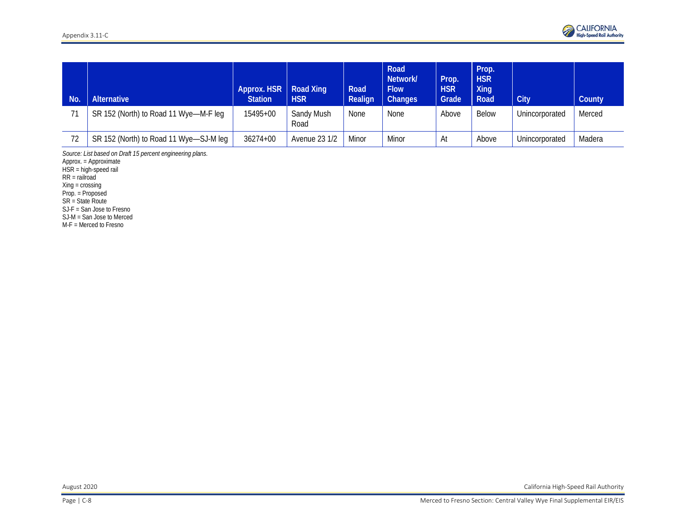| <b>No</b> | <b>Alternative</b>                     | Approx. HSR   Road Xing<br><b>Station</b> | <b>HSR</b>                | Road<br>Realign | Road<br>Network/<br><b>Flow</b><br>Changes | Prop.<br><b>HSR</b><br>Grade | Prop.<br><b>HSR</b><br>Xing<br>Road | City           | County |
|-----------|----------------------------------------|-------------------------------------------|---------------------------|-----------------|--------------------------------------------|------------------------------|-------------------------------------|----------------|--------|
|           | SR 152 (North) to Road 11 Wye-M-F leg  | 15495+00                                  | <b>Sandy Mush</b><br>Road | None            | <b>None</b>                                | Above                        | Below                               | Unincorporated | Merced |
| 72        | SR 152 (North) to Road 11 Wye-SJ-M leg | 36274+00                                  | Avenue 23 1/2             | Minor           | Minor                                      | At                           | Above                               | Unincorporated | Madera |

*Source: List based on Draft 15 percent engineering plans.*

Approx. = Approximate

HSR = high-speed rail

RR = railroad

Xing = crossing

Prop. = Proposed

SR = State Route

SJ-F = San Jose to Fresno

SJ-M = San Jose to Merced

M-F = Merced to Fresno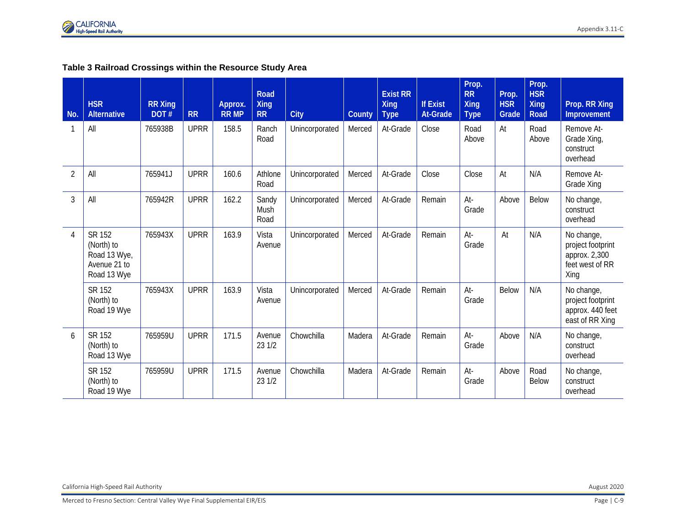

#### **Table 3 Railroad Crossings within the Resource Study Area**

| <b>No</b>      | <b>HSR</b><br><b>Alternative</b>                                           | <b>RR Xing</b><br>DOT# | <b>RR</b>   | Approx.<br><b>RR MP</b> | Road<br><b>Xing</b><br><b>RR</b> | <b>City</b>    | County | <b>Exist RR</b><br><b>Xing</b><br><b>Type</b> | <b>If Exist</b><br><b>At-Grade</b> | Prop.<br><b>RR</b><br><b>Xing</b><br><b>Type</b> | Prop.<br><b>HSR</b><br>Grade | Prop.<br><b>HSR</b><br><b>Xing</b><br>Road | Prop. RR Xing<br>Improvement                                                |
|----------------|----------------------------------------------------------------------------|------------------------|-------------|-------------------------|----------------------------------|----------------|--------|-----------------------------------------------|------------------------------------|--------------------------------------------------|------------------------------|--------------------------------------------|-----------------------------------------------------------------------------|
|                | All                                                                        | 765938B                | <b>UPRR</b> | 158.5                   | Ranch<br>Road                    | Unincorporated | Merced | At-Grade                                      | Close                              | Road<br>Above                                    | At                           | Road<br>Above                              | Remove At-<br>Grade Xing<br>construct<br>overhead                           |
| $\overline{2}$ | All                                                                        | 765941J                | <b>UPRR</b> | 160.6                   | Athlone<br>Road                  | Unincorporated | Merced | At-Grade                                      | Close                              | Close                                            | At                           | N/A                                        | Remove At-<br>Grade Xing                                                    |
| 3              | All                                                                        | 765942R                | <b>UPRR</b> | 162.2                   | Sandy<br>Mush<br>Road            | Unincorporated | Merced | At-Grade                                      | Remain                             | At-<br>Grade                                     | Above                        | Below                                      | No change,<br>construct<br>overhead                                         |
| 4              | <b>SR 152</b><br>(North) to<br>Road 13 Wye,<br>Avenue 21 to<br>Road 13 Wye | 765943X                | <b>UPRR</b> | 163.9                   | Vista<br>Avenue                  | Unincorporated | Merced | At-Grade                                      | Remain                             | At-<br>Grade                                     | At                           | N/A                                        | No change,<br>project footprint<br>approx. 2,300<br>feet west of RR<br>Xing |
|                | SR 152<br>(North) to<br>Road 19 Wye                                        | 765943X                | <b>UPRR</b> | 163.9                   | Vista<br>Avenue                  | Unincorporated | Merced | At-Grade                                      | Remain                             | At-<br>Grade                                     | Below                        | N/A                                        | No change,<br>project footprint<br>approx. 440 feet<br>east of RR Xing      |
| 6              | SR 152<br>(North) to<br>Road 13 Wye                                        | 765959U                | <b>UPRR</b> | 171.5                   | Avenue<br>23 1/2                 | Chowchilla     | Madera | At-Grade                                      | Remain                             | At-<br>Grade                                     | Above                        | N/A                                        | No change,<br>construct<br>overhead                                         |
|                | <b>SR 152</b><br>(North) to<br>Road 19 Wye                                 | 765959U                | <b>UPRR</b> | 171.5                   | Avenue<br>23 1/2                 | Chowchilla     | Madera | At-Grade                                      | Remain                             | At-<br>Grade                                     | Above                        | Road<br><b>Below</b>                       | No change,<br>construct<br>overhead                                         |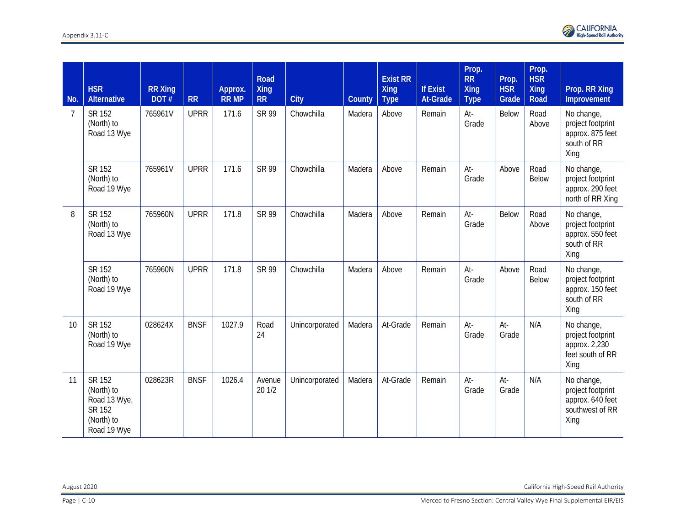| No. | <b>HSR</b><br><b>Alternative</b>                                            | <b>RR Xing</b><br>DOT# | <b>RR</b>   | Approx.<br><b>RR MP</b> | <b>Road</b><br><b>Xing</b><br><b>RR</b> | City           | County | <b>Exist RR</b><br><b>Xing</b><br><b>Type</b> | <b>If Exist</b><br><b>At-Grade</b> | Prop.<br><b>RR</b><br><b>Xing</b><br><b>Type</b> | Prop.<br><b>HSR</b><br>Grade | Prop.<br><b>HSR</b><br><b>Xing</b><br>Road | Prop. RR Xing<br>Improvement                                                   |
|-----|-----------------------------------------------------------------------------|------------------------|-------------|-------------------------|-----------------------------------------|----------------|--------|-----------------------------------------------|------------------------------------|--------------------------------------------------|------------------------------|--------------------------------------------|--------------------------------------------------------------------------------|
| 7   | SR 152<br>(North) to<br>Road 13 Wye                                         | 765961V                | <b>UPRR</b> | 171.6                   | <b>SR 99</b>                            | Chowchilla     | Madera | Above                                         | Remain                             | At-<br>Grade                                     | Below                        | Road<br>Above                              | No change,<br>project footprint<br>approx. 875 feet<br>south of RR<br>Xing     |
|     | SR 152<br>(North) to<br>Road 19 Wye                                         | 765961V                | <b>UPRR</b> | 171.6                   | <b>SR 99</b>                            | Chowchilla     | Madera | Above                                         | Remain                             | At-<br>Grade                                     | Above                        | Road<br><b>Below</b>                       | No change,<br>project footprint<br>approx. 290 feet<br>north of RR Xing        |
| 8   | SR 152<br>(North) to<br>Road 13 Wye                                         | 765960N                | <b>UPRR</b> | 171.8                   | <b>SR 99</b>                            | Chowchilla     | Madera | Above                                         | Remain                             | At-<br>Grade                                     | Below                        | Road<br>Above                              | No change,<br>project footprint<br>approx. 550 feet<br>south of RR<br>Xing     |
|     | SR 152<br>(North) to<br>Road 19 Wye                                         | 765960N                | <b>UPRR</b> | 171.8                   | SR 99                                   | Chowchilla     | Madera | Above                                         | Remain                             | At-<br>Grade                                     | Above                        | Road<br><b>Below</b>                       | No change,<br>project footprint<br>approx. 150 feet<br>south of RR<br>Xing     |
| 10  | SR 152<br>(North) to<br>Road 19 Wye                                         | 028624X                | <b>BNSF</b> | 1027.9                  | Road<br>24                              | Unincorporated | Madera | At-Grade                                      | Remain                             | At-<br>Grade                                     | At-<br>Grade                 | N/A                                        | No change,<br>project footprint<br>approx. 2,230<br>feet south of RR<br>Xing   |
| 11  | SR 152<br>(North) to<br>Road 13 Wye,<br>SR 152<br>(North) to<br>Road 19 Wye | 028623R                | <b>BNSF</b> | 1026.4                  | Avenue<br>20 1/2                        | Unincorporated | Madera | At-Grade                                      | Remain                             | At-<br>Grade                                     | At-<br>Grade                 | N/A                                        | No change,<br>project footprint<br>approx. 640 feet<br>southwest of RR<br>Xing |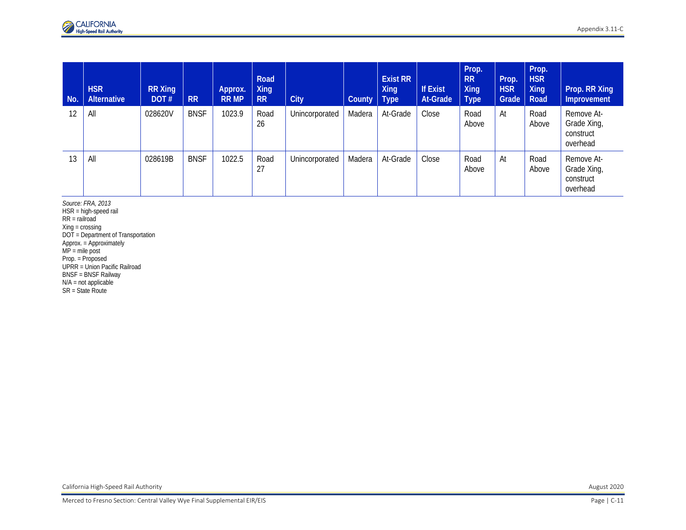| No. | <b>HSR</b><br><b>Alternative</b> | <b>RR Xing</b><br>DOT# | <b>RR</b>   | Approx.<br><b>RR MP</b> | Road<br><b>Xing</b><br><b>RR</b> | <b>City</b>    | County   Type | <b>Exist RR</b><br>Xing | <b>If Exist</b><br>At-Grade | Prop.<br><b>RR</b><br>Xing<br><b>Type</b> | Prop.<br><b>HSR</b><br>Grade | Prop.<br><b>HSR</b><br>Xing<br>Road | Prop. RR Xing<br>Improvement                       |
|-----|----------------------------------|------------------------|-------------|-------------------------|----------------------------------|----------------|---------------|-------------------------|-----------------------------|-------------------------------------------|------------------------------|-------------------------------------|----------------------------------------------------|
| 12  | All                              | 028620V                | <b>BNSF</b> | 1023.9                  | Road<br>26                       | Unincorporated | Madera        | At-Grade                | Close                       | Road<br>Above                             | At                           | Road<br>Above                       | Remove At-<br>Grade Xing,<br>construct<br>overhead |
| 13  | All                              | 028619B                | <b>BNSF</b> | 1022.5                  | Road<br>27                       | Unincorporated | Madera        | At-Grade                | Close                       | Road<br>Above                             | At                           | Road<br>Above                       | Remove At-<br>Grade Xing,<br>construct<br>overhead |

*Source: FRA, 2013* HSR = high-speed rail RR = railroad Xing = crossing DOT = Department of Transportation Approx. = Approximately MP = mile post Prop. = Proposed UPRR = Union Pacific Railroad BNSF = BNSF Railway N/A = not applicable SR = State Route

California High-Speed Rail Authority August 2020